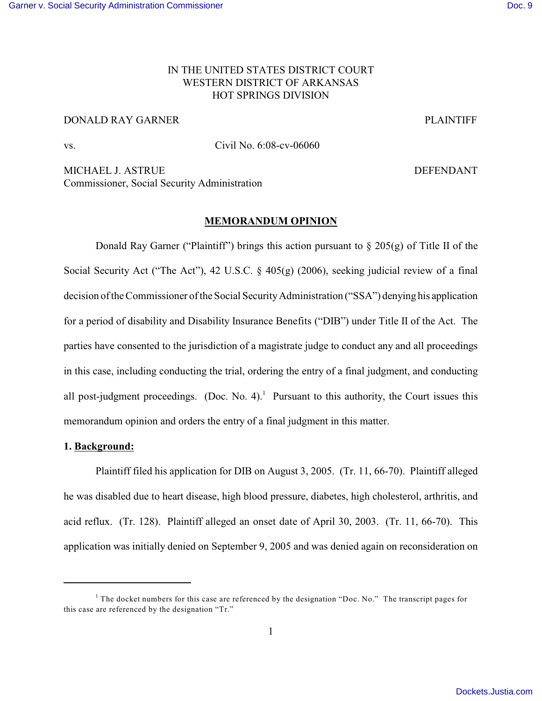# IN THE UNITED STATES DISTRICT COURT WESTERN DISTRICT OF ARKANSAS HOT SPRINGS DIVISION

# DONALD RAY GARNER PLAINTIFF

vs. Civil No. 6:08-cv-06060

MICHAEL J. ASTRUE **DEFENDANT** Commissioner, Social Security Administration

### **MEMORANDUM OPINION**

Donald Ray Garner ("Plaintiff") brings this action pursuant to  $\S 205(g)$  of Title II of the Social Security Act ("The Act"), 42 U.S.C. § 405(g) (2006), seeking judicial review of a final decision of the Commissioner of the Social Security Administration ("SSA") denying his application for a period of disability and Disability Insurance Benefits ("DIB") under Title II of the Act. The parties have consented to the jurisdiction of a magistrate judge to conduct any and all proceedings in this case, including conducting the trial, ordering the entry of a final judgment, and conducting all post-judgment proceedings. (Doc. No. 4).<sup>1</sup> Pursuant to this authority, the Court issues this memorandum opinion and orders the entry of a final judgment in this matter.

### **1. Background:**

Plaintiff filed his application for DIB on August 3, 2005. (Tr. 11, 66-70). Plaintiff alleged he was disabled due to heart disease, high blood pressure, diabetes, high cholesterol, arthritis, and acid reflux. (Tr. 128). Plaintiff alleged an onset date of April 30, 2003. (Tr. 11, 66-70). This application was initially denied on September 9, 2005 and was denied again on reconsideration on

<sup>&</sup>lt;sup>1</sup> The docket numbers for this case are referenced by the designation "Doc. No." The transcript pages for this case are referenced by the designation "Tr."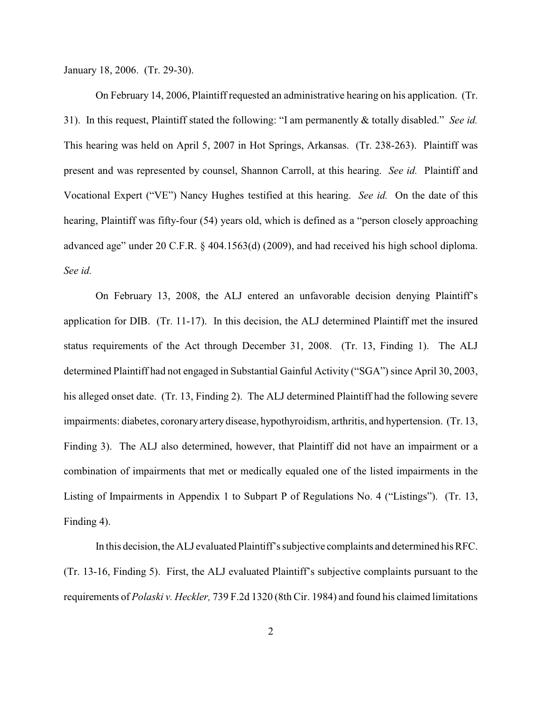January 18, 2006. (Tr. 29-30).

On February 14, 2006, Plaintiff requested an administrative hearing on his application. (Tr. 31). In this request, Plaintiff stated the following: "I am permanently & totally disabled." *See id.* This hearing was held on April 5, 2007 in Hot Springs, Arkansas. (Tr. 238-263). Plaintiff was present and was represented by counsel, Shannon Carroll, at this hearing. *See id.* Plaintiff and Vocational Expert ("VE") Nancy Hughes testified at this hearing. *See id.* On the date of this hearing, Plaintiff was fifty-four (54) years old, which is defined as a "person closely approaching advanced age" under 20 C.F.R. § 404.1563(d) (2009), and had received his high school diploma. *See id.* 

On February 13, 2008, the ALJ entered an unfavorable decision denying Plaintiff's application for DIB. (Tr. 11-17). In this decision, the ALJ determined Plaintiff met the insured status requirements of the Act through December 31, 2008. (Tr. 13, Finding 1). The ALJ determined Plaintiff had not engaged in Substantial Gainful Activity ("SGA") since April 30, 2003, his alleged onset date. (Tr. 13, Finding 2). The ALJ determined Plaintiff had the following severe impairments: diabetes, coronary artery disease, hypothyroidism, arthritis, and hypertension. (Tr. 13, Finding 3). The ALJ also determined, however, that Plaintiff did not have an impairment or a combination of impairments that met or medically equaled one of the listed impairments in the Listing of Impairments in Appendix 1 to Subpart P of Regulations No. 4 ("Listings"). (Tr. 13, Finding 4).

In this decision, the ALJ evaluated Plaintiff's subjective complaints and determined his RFC. (Tr. 13-16, Finding 5). First, the ALJ evaluated Plaintiff's subjective complaints pursuant to the requirements of *Polaski v. Heckler,* 739 F.2d 1320 (8th Cir. 1984) and found his claimed limitations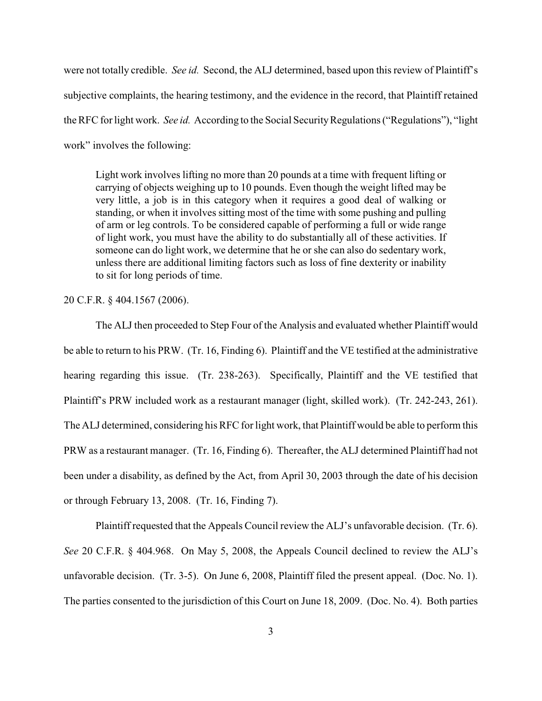were not totally credible. *See id.* Second, the ALJ determined, based upon this review of Plaintiff's subjective complaints, the hearing testimony, and the evidence in the record, that Plaintiff retained the RFC for light work. *See id.* According to the Social Security Regulations ("Regulations"), "light work" involves the following:

Light work involves lifting no more than 20 pounds at a time with frequent lifting or carrying of objects weighing up to 10 pounds. Even though the weight lifted may be very little, a job is in this category when it requires a good deal of walking or standing, or when it involves sitting most of the time with some pushing and pulling of arm or leg controls. To be considered capable of performing a full or wide range of light work, you must have the ability to do substantially all of these activities. If someone can do light work, we determine that he or she can also do sedentary work, unless there are additional limiting factors such as loss of fine dexterity or inability to sit for long periods of time.

20 C.F.R. § 404.1567 (2006).

The ALJ then proceeded to Step Four of the Analysis and evaluated whether Plaintiff would be able to return to his PRW. (Tr. 16, Finding 6). Plaintiff and the VE testified at the administrative hearing regarding this issue. (Tr. 238-263). Specifically, Plaintiff and the VE testified that Plaintiff's PRW included work as a restaurant manager (light, skilled work). (Tr. 242-243, 261). The ALJ determined, considering his RFC for light work, that Plaintiff would be able to perform this PRW as a restaurant manager. (Tr. 16, Finding 6). Thereafter, the ALJ determined Plaintiff had not been under a disability, as defined by the Act, from April 30, 2003 through the date of his decision or through February 13, 2008. (Tr. 16, Finding 7).

Plaintiff requested that the Appeals Council review the ALJ's unfavorable decision. (Tr. 6). *See* 20 C.F.R. § 404.968. On May 5, 2008, the Appeals Council declined to review the ALJ's unfavorable decision. (Tr. 3-5). On June 6, 2008, Plaintiff filed the present appeal. (Doc. No. 1). The parties consented to the jurisdiction of this Court on June 18, 2009. (Doc. No. 4). Both parties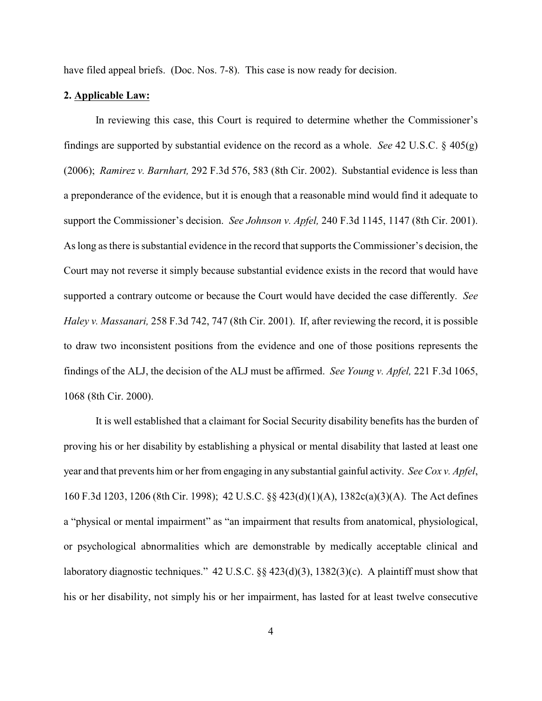have filed appeal briefs. (Doc. Nos. 7-8). This case is now ready for decision.

#### **2. Applicable Law:**

In reviewing this case, this Court is required to determine whether the Commissioner's findings are supported by substantial evidence on the record as a whole. *See* 42 U.S.C. § 405(g) (2006); *Ramirez v. Barnhart,* 292 F.3d 576, 583 (8th Cir. 2002). Substantial evidence is less than a preponderance of the evidence, but it is enough that a reasonable mind would find it adequate to support the Commissioner's decision. *See Johnson v. Apfel,* 240 F.3d 1145, 1147 (8th Cir. 2001). As long as there is substantial evidence in the record that supports the Commissioner's decision, the Court may not reverse it simply because substantial evidence exists in the record that would have supported a contrary outcome or because the Court would have decided the case differently. *See Haley v. Massanari,* 258 F.3d 742, 747 (8th Cir. 2001). If, after reviewing the record, it is possible to draw two inconsistent positions from the evidence and one of those positions represents the findings of the ALJ, the decision of the ALJ must be affirmed. *See Young v. Apfel,* 221 F.3d 1065, 1068 (8th Cir. 2000).

It is well established that a claimant for Social Security disability benefits has the burden of proving his or her disability by establishing a physical or mental disability that lasted at least one year and that prevents him or her from engaging in any substantial gainful activity. *See Cox v. Apfel*, 160 F.3d 1203, 1206 (8th Cir. 1998); 42 U.S.C. §§ 423(d)(1)(A), 1382c(a)(3)(A). The Act defines a "physical or mental impairment" as "an impairment that results from anatomical, physiological, or psychological abnormalities which are demonstrable by medically acceptable clinical and laboratory diagnostic techniques." 42 U.S.C. §§ 423(d)(3), 1382(3)(c). A plaintiff must show that his or her disability, not simply his or her impairment, has lasted for at least twelve consecutive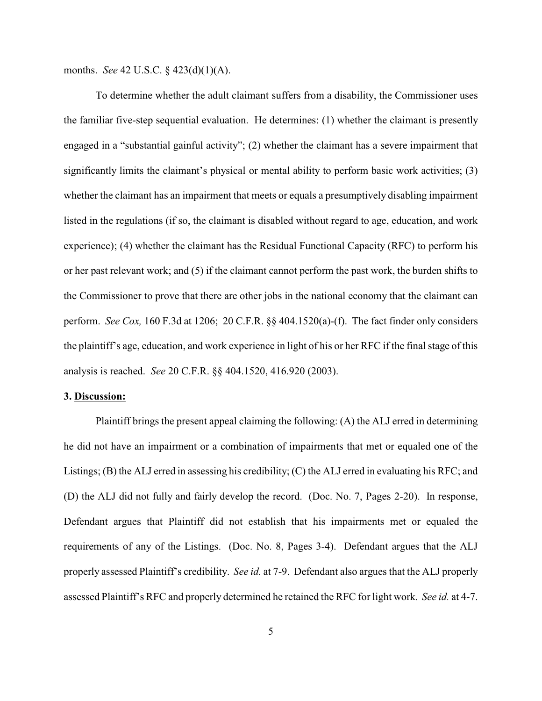months. *See* 42 U.S.C. § 423(d)(1)(A).

To determine whether the adult claimant suffers from a disability, the Commissioner uses the familiar five-step sequential evaluation. He determines: (1) whether the claimant is presently engaged in a "substantial gainful activity"; (2) whether the claimant has a severe impairment that significantly limits the claimant's physical or mental ability to perform basic work activities; (3) whether the claimant has an impairment that meets or equals a presumptively disabling impairment listed in the regulations (if so, the claimant is disabled without regard to age, education, and work experience); (4) whether the claimant has the Residual Functional Capacity (RFC) to perform his or her past relevant work; and (5) if the claimant cannot perform the past work, the burden shifts to the Commissioner to prove that there are other jobs in the national economy that the claimant can perform. *See Cox,* 160 F.3d at 1206; 20 C.F.R. §§ 404.1520(a)-(f). The fact finder only considers the plaintiff's age, education, and work experience in light of his or her RFC if the final stage of this analysis is reached. *See* 20 C.F.R. §§ 404.1520, 416.920 (2003).

### **3. Discussion:**

Plaintiff brings the present appeal claiming the following: (A) the ALJ erred in determining he did not have an impairment or a combination of impairments that met or equaled one of the Listings; (B) the ALJ erred in assessing his credibility; (C) the ALJ erred in evaluating his RFC; and (D) the ALJ did not fully and fairly develop the record. (Doc. No. 7, Pages 2-20). In response, Defendant argues that Plaintiff did not establish that his impairments met or equaled the requirements of any of the Listings. (Doc. No. 8, Pages 3-4). Defendant argues that the ALJ properly assessed Plaintiff's credibility. *See id.* at 7-9. Defendant also argues that the ALJ properly assessed Plaintiff's RFC and properly determined he retained the RFC for light work. *See id.* at 4-7.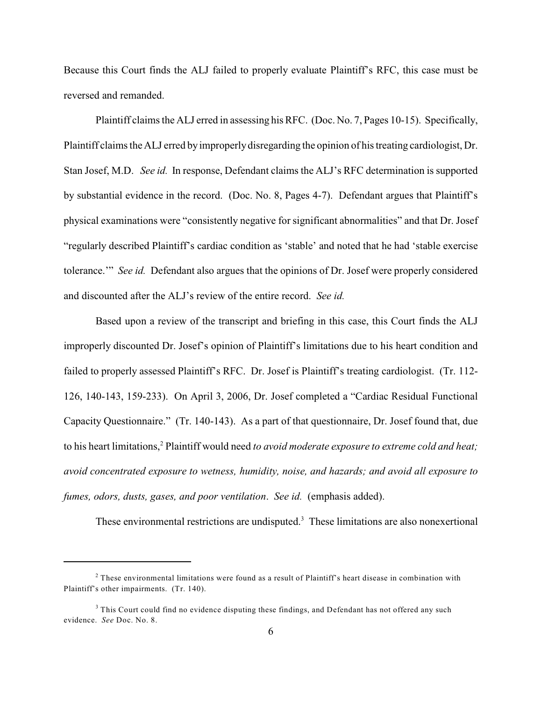Because this Court finds the ALJ failed to properly evaluate Plaintiff's RFC, this case must be reversed and remanded.

Plaintiff claims the ALJ erred in assessing hisRFC. (Doc. No. 7, Pages 10-15). Specifically, Plaintiff claims theALJ erred by improperly disregarding the opinion of his treating cardiologist, Dr. Stan Josef, M.D. *See id.* In response, Defendant claims the ALJ's RFC determination is supported by substantial evidence in the record. (Doc. No. 8, Pages 4-7). Defendant argues that Plaintiff's physical examinations were "consistently negative for significant abnormalities" and that Dr. Josef "regularly described Plaintiff's cardiac condition as 'stable' and noted that he had 'stable exercise tolerance.'" *See id.* Defendant also argues that the opinions of Dr. Josef were properly considered and discounted after the ALJ's review of the entire record. *See id.* 

Based upon a review of the transcript and briefing in this case, this Court finds the ALJ improperly discounted Dr. Josef's opinion of Plaintiff's limitations due to his heart condition and failed to properly assessed Plaintiff's RFC. Dr. Josef is Plaintiff's treating cardiologist. (Tr. 112- 126, 140-143, 159-233). On April 3, 2006, Dr. Josef completed a "Cardiac Residual Functional Capacity Questionnaire." (Tr. 140-143). As a part of that questionnaire, Dr. Josef found that, due to his heart limitations,<sup>2</sup> Plaintiff would need to avoid moderate exposure to extreme cold and heat; *avoid concentrated exposure to wetness, humidity, noise, and hazards; and avoid all exposure to fumes, odors, dusts, gases, and poor ventilation*. *See id.* (emphasis added).

These environmental restrictions are undisputed.<sup>3</sup> These limitations are also nonexertional

 $2$  These environmental limitations were found as a result of Plaintiff's heart disease in combination with Plaintiff's other impairments. (Tr. 140).

<sup>&</sup>lt;sup>3</sup> This Court could find no evidence disputing these findings, and Defendant has not offered any such evidence. *See* Doc. No. 8.